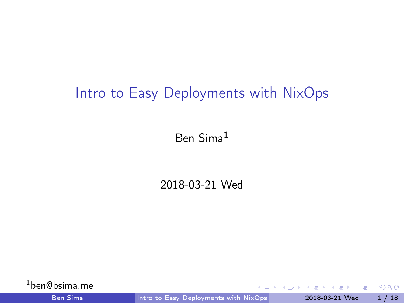## <span id="page-0-0"></span>Intro to Easy Deployments with NixOps

Ben Sima<sup>1</sup>

2018-03-21 Wed

| <b>Ben Sima</b>           | Intro to Easy Deployments with NixOps | 2018-03-21 Wed 1 / 18        |  |
|---------------------------|---------------------------------------|------------------------------|--|
| <sup>1</sup> ben@bsima.me |                                       | - KED KA KA KED KED E LA GRO |  |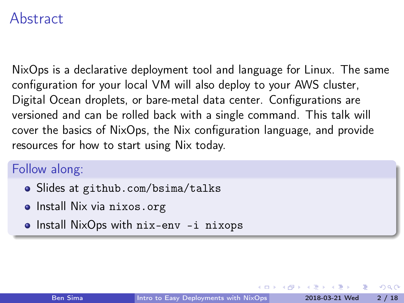#### Abstract

NixOps is a declarative deployment tool and language for Linux. The same configuration for your local VM will also deploy to your AWS cluster, Digital Ocean droplets, or bare-metal data center. Configurations are versioned and can be rolled back with a single command. This talk will cover the basics of NixOps, the Nix configuration language, and provide resources for how to start using Nix today.

#### Follow along:

- Slides at github.com/bsima/talks
- Install Nix via nixos.org
- Install NixOps with nix-env -i nixops

 $\Omega$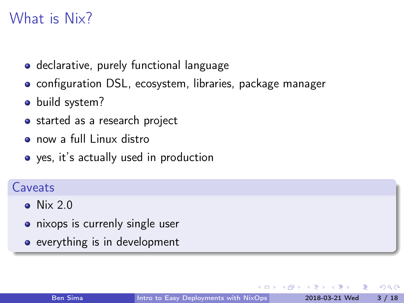## What is Nix?

- declarative, purely functional language
- configuration DSL, ecosystem, libraries, package manager
- build system?
- started as a research project
- **o** now a full Linux distro
- yes, it's actually used in production

#### Caveats

- $\bullet$  Nix 2.0
- nixops is currenly single user
- everything is in development

 $200$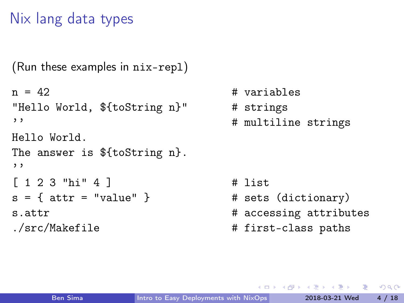## Nix lang data types

```
(Run these examples in nix-repl)
n = 42 \# variables
"Hello World, ${toString n}" # strings
'' # multiline strings
Hello World.
The answer is ${toString n}.
''
[ 1 2 3 "hi" 4 ] # list
s = \{ \text{attr} = "value" \} # sets (dictionary)
s.attr A. The state of \mu accessing attributes
./src/Makefile \qquad # first-class paths
```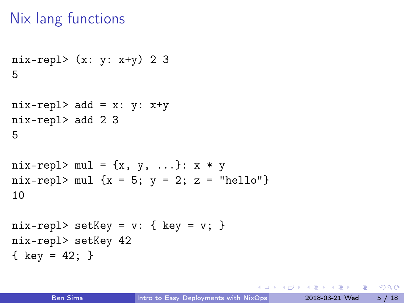## Nix lang functions

```
nix-repl> (x: y: x+y) 2 3
5
```

```
nix-repl> add = x: y: x+ynix-repl> add 2 3
5
```

```
nix-repl> mul = \{x, y, \ldots\}: x * ynix-repl> mul \{x = 5; y = 2; z = "hello"\}10
```

```
nix-repl> setKey = v: \{ \text{key} = v; \}nix-repl> setKey 42
{ key = 42; }
```
K個→ K ミト K ミト ニヨー つなび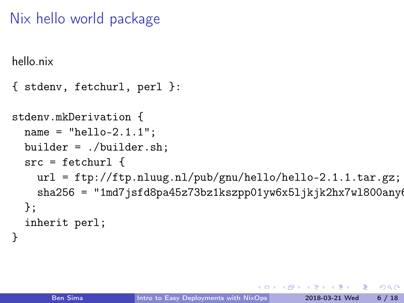## Nix hello world package

hello.nix

```
{ stdenv, fetchurl, perl }:
```

```
stdenv.mkDerivation {
  name = "hello-2.1.1":builder = ./builder.sh;
  src = fetchurl {
   url = ftp://ftp.nluug.nl/pub/gnu/hello/hello-2.1.1.tar.gz;
    sha256 = "1md7jsfd8pa45z73bz1kszpp01yw6x51jkjk2hx7w1800any6
 };
  inherit perl;
}
```
 $\Omega$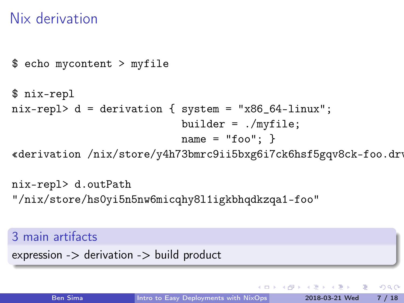## Nix derivation

```
$ echo mycontent > myfile
```

```
$ nix-repl
nix-repl> d = derivation { system = "x86_64-linux";
                           builder = ./myfile;
                           name = "foo": }
```
«derivation /nix/store/y4h73bmrc9ii5bxg6i7ck6hsf5gqv8ck-foo.drv»

nix-repl> d.outPath "/nix/store/hs0yi5n5nw6micqhy8l1igkbhqdkzqa1-foo"

#### 3 main artifacts

 $expression$  - $>$  derivation - $>$  build product

K個→ K ミト K ミト ニヨー つなび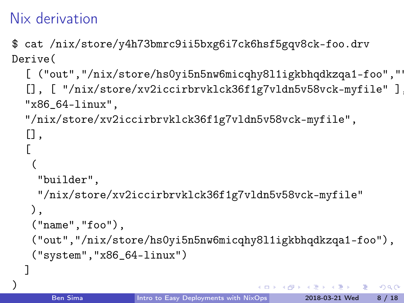## Nix derivation

\$ cat /nix/store/y4h73bmrc9ii5bxg6i7ck6hsf5gqv8ck-foo.drv Derive(

```
[ ("out", "/nix/store/hs0yi5n5nw6micqhy8ll1igkbhqdkzqa1-foo", "')[], [ "/nix/store/xv2iccirbrvklck36f1g7vldn5v58vck-myfile" ]
"x86_64-linux",
"/nix/store/xv2iccirbrvklck36f1g7vldn5v58vck-myfile",
[],
\lceil(
  "builder",
  "/nix/store/xv2iccirbrvklck36f1g7vldn5v58vck-myfile"
),
 ("name","foo"),
 ("out","/nix/store/hs0yi5n5nw6micqhy8l1igkbhqdkzqa1-foo"),
 ("system","x86_64-linux")
```
] )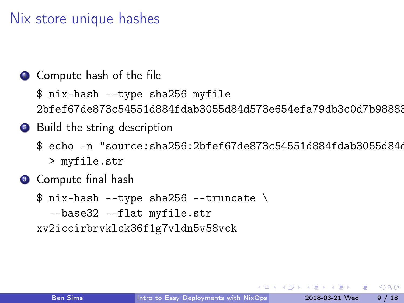### Nix store unique hashes

#### **1** Compute hash of the file

\$ nix-hash --type sha256 myfile 2bfef67de873c54551d884fdab3055d84d573e654efa79db3c0d7b98883

#### 2 Build the string description

- \$ echo -n "source:sha256:2bfef67de873c54551d884fdab3055d84d > myfile.str
- **3** Compute final hash

 $$ nix-hash$  --type sha256 --truncate \ --base32 --flat myfile.str xv2iccirbrvklck36f1g7vldn5v58vck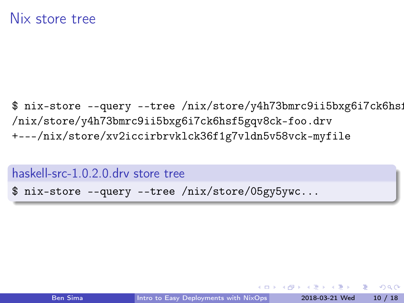\$ nix-store --query --tree /nix/store/y4h73bmrc9ii5bxg6i7ck6hsi /nix/store/y4h73bmrc9ii5bxg6i7ck6hsf5gqv8ck-foo.drv +---/nix/store/xv2iccirbrvklck36f1g7vldn5v58vck-myfile

haskell-src-1.0.2.0.drv store tree

\$ nix-store --query --tree /nix/store/05gy5ywc...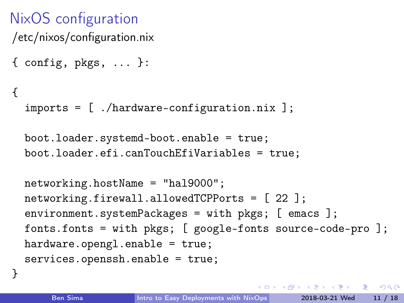### NixOS configuration /etc/nixos/configuration.nix

```
\{ config, pkgs, \ldots }:
```

```
{
```
}

imports = [ ./hardware-configuration.nix ];

```
boot.loader.systemd-boot.enable = true;
boot.loader.efi.canTouchEfiVariables = true;
```

```
networking.hostName = "hal9000";
networking.firewall.allowedTCPPorts = [ 22 ];
environment.systemPackages = with pkgs; [ emacs ];
fonts.fonts = with pkgs; [ google-fonts source-code-pro ];
hardware.opengl.enable = true;
services.openssh.enable = true;
```
**KOD KOD KED KED ORA**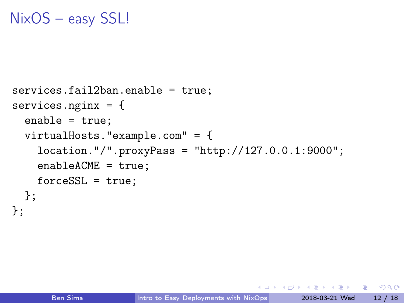### NixOS – easy SSL!

```
services.fail2ban.enable = true;
services.nginx = \{enable = true;
  virtualHosts."example.com" = {
    location."/".proxyPass = "http://127.0.0.1:9000";
    enableACME = true;
    forceSSL = true;};
};
```
 $-17.5$ 

 $\overline{AB}$   $\rightarrow$   $\overline{AB}$   $\rightarrow$   $\overline{AB}$   $\rightarrow$   $\overline{BA}$   $\rightarrow$   $\overline{BA}$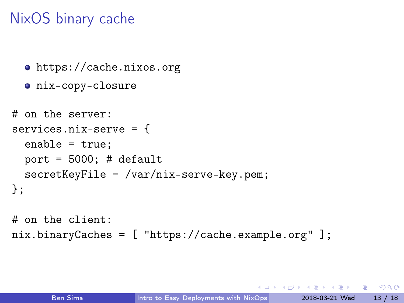## NixOS binary cache

```
https://cache.nixos.org
  o nix-copy-closure
# on the server:
services.nix-serve = {
  enable = true;
  port = 5000; # default
  secretKeyFile = /var/nix-serverve-key.open;};
# on the client:
nix.binaryCaches = [ "https://cache.example.org" ];
```
4 AD + AD + AD + DD + DD + AD + AD + DD + DD + DD + DD + DD + DD + DD + DD + DD + DD + DD + DD + DD + DD + DD + DD + DD + DD + DD + DD + DD + DD + DD + DD + DD + DD + DD + DD + DD + DD + DD + DD + DD + DD + DD + DD + DD +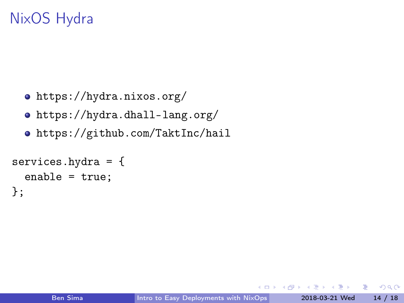## NixOS Hydra

- <https://hydra.nixos.org/>
- <https://hydra.dhall-lang.org/>
- <https://github.com/TaktInc/hail>

```
services.hydra = {
  enable = true;
};
```
4 何 ト

Box 11 ÷.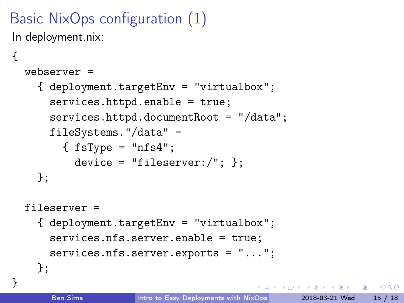# Basic NixOps configuration (1)

In deployment.nix:

{

}

```
webserver =
  { deployment.targetEnv = "virtualbox";
    services.httpd.enable = true;
    services.httpd.documentRoot = "/data";
    fileSystems."/data" =
      \{ fsType = "nfs4";
        device = "fileserver:/"; \}:
 };
fileserver =
  { deployment.targetEnv = "virtualbox";
    services.nfs.server.enable = true;
    services.nfs.server.exports = "...";
 };
```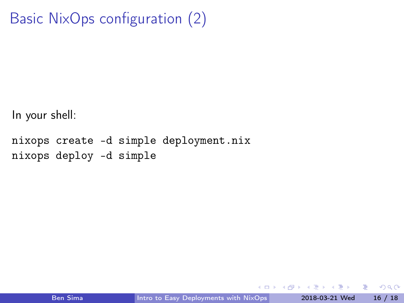```
Basic NixOps configuration (2)
```
In your shell:

```
nixops create -d simple deployment.nix
nixops deploy -d simple
```
4 D F

4 同下

Э× ÷.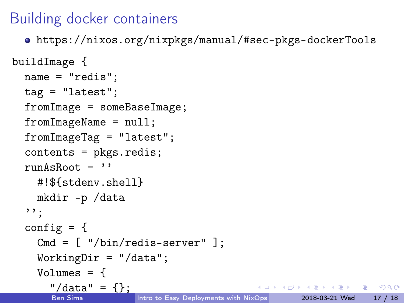## Building docker containers

<https://nixos.org/nixpkgs/manual/#sec-pkgs-dockerTools>

```
buildImage {
  name = "redis";
  tag = "latest";fromImage = someBaseImage;
  fromImageName = null;
  fromImageTag = "latest";
  contents = pkgs.redis;
  runAsRoot = ''#!${stdenv.shell}
    mkdir -p /data
  , \, \cdot :
  config = \{Cmd = \lceil "/bin/redis-server" \rceil:
    WorkingDir = " / data";Volumes = {
       ''/\text{data}'' = \{\};KET KUN KET KET ET AUG
                       Intro to Easy Deployments with NixOps 2018-03-21 Wed 17 / 18
```